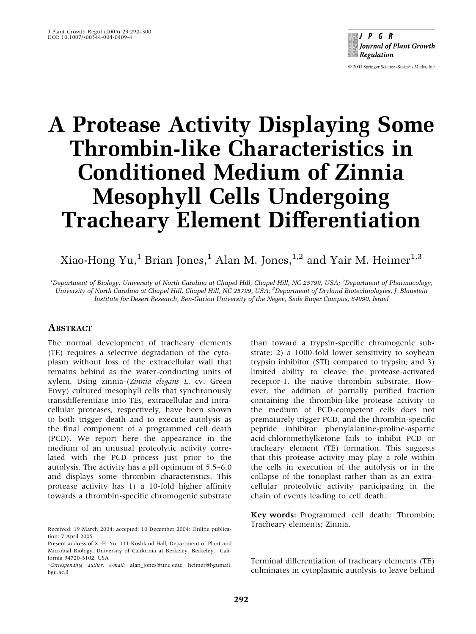$P$  G R Journal of Plant Growth **Regulation** 

© 2005 Springer Science+Business Media, Inc

# A Protease Activity Displaying Some Thrombin-like Characteristics in Conditioned Medium of Zinnia Mesophyll Cells Undergoing Tracheary Element Differentiation

Xiao-Hong Yu,<sup>1</sup> Brian Jones,<sup>1</sup> Alan M. Jones,<sup>1,2</sup> and Yair M. Heimer<sup>1,3</sup>

<sup>1</sup>Department of Biology, University of North Carolina at Chapel Hill, Chapel Hill, NC 25799, USA; <sup>2</sup>Department of Pharmacology, University of North Carolina at Chapel Hill, Chapel Hill, NC 25799, USA; <sup>3</sup>Department of Dryland Biotechnologies, J. Blaustein Institute for Desert Research, Ben-Gurion University of the Negev, Sede Buqer Campus, 84990, Israel

# **ABSTRACT**

The normal development of tracheary elements (TE) requires a selective degradation of the cytoplasm without loss of the extracellular wall that remains behind as the water-conducting units of xylem. Using zinnia-(Zinnia elegans L. cv. Green Envy) cultured mesophyll cells that synchronously transdifferentiate into TEs, extracellular and intracellular proteases, respectively, have been shown to both trigger death and to execute autolysis as the final component of a programmed cell death (PCD). We report here the appearance in the medium of an unusual proteolytic activity correlated with the PCD process just prior to the autolysis. The activity has a pH optimum of 5.5–6.0 and displays some thrombin characteristics. This protease activity has 1) a 10-fold higher affinity towards a thrombin-specific chromogenic substrate

Received: 19 March 2004; accepted: 10 December 2004; Online publication: 7 April 2005

than toward a trypsin-specific chromogenic substrate; 2) a 1000-fold lower sensitivity to soybean trypsin inhibitor (STI) compared to trypsin; and 3) limited ability to cleave the protease-activated receptor-1, the native thrombin substrate. However, the addition of partially purified fraction containing the thrombin-like protease activity to the medium of PCD-competent cells does not prematurely trigger PCD, and the thrombin-specific peptide inhibitor phenylalanine-proline-aspartic acid-chloromethylketone fails to inhibit PCD or tracheary element (TE) formation. This suggests that this protease activity may play a role within the cells in execution of the autolysis or in the collapse of the tonoplast rather than as an extracellular proteolytic activity participating in the chain of events leading to cell death.

Key words: Programmed cell death; Thrombin; Tracheary elements; Zinnia.

Terminal differentiation of tracheary elements (TE) culminates in cytoplasmic autolysis to leave behind

Present address of X.-H. Yu: 111 Koshland Hall, Department of Plant and Microbial Biology, University of California at Berkeley, Berkeley, California 94720-3102, USA

<sup>\*</sup>Corresponding author; e-mail: alan\_jones@unc.edu; heimer@bgumail. bgu.ac.il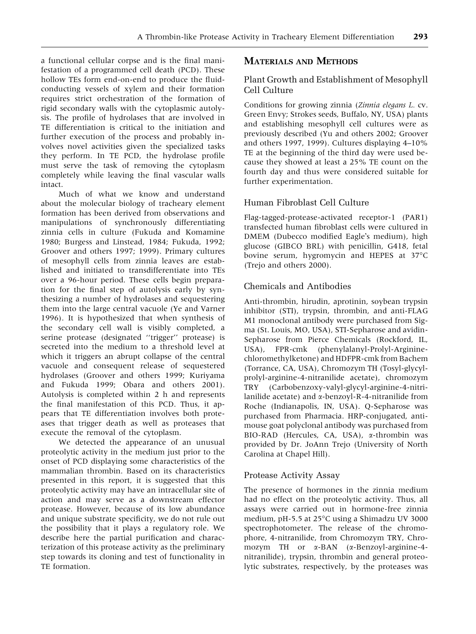a functional cellular corpse and is the final manifestation of a programmed cell death (PCD). These hollow TEs form end-on-end to produce the fluidconducting vessels of xylem and their formation requires strict orchestration of the formation of rigid secondary walls with the cytoplasmic autolysis. The profile of hydrolases that are involved in TE differentiation is critical to the initiation and further execution of the process and probably involves novel activities given the specialized tasks they perform. In TE PCD, the hydrolase profile must serve the task of removing the cytoplasm completely while leaving the final vascular walls intact.

Much of what we know and understand about the molecular biology of tracheary element formation has been derived from observations and manipulations of synchronously differentiating zinnia cells in culture (Fukuda and Komamine 1980; Burgess and Linstead, 1984; Fukuda, 1992; Groover and others 1997; 1999). Primary cultures of mesophyll cells from zinnia leaves are established and initiated to transdifferentiate into TEs over a 96-hour period. These cells begin preparation for the final step of autolysis early by synthesizing a number of hydrolases and sequestering them into the large central vacuole (Ye and Varner 1996). It is hypothesized that when synthesis of the secondary cell wall is visibly completed, a serine protease (designated ''trigger'' protease) is secreted into the medium to a threshold level at which it triggers an abrupt collapse of the central vacuole and consequent release of sequestered hydrolases (Groover and others 1999; Kuriyama and Fukuda 1999; Obara and others 2001). Autolysis is completed within 2 h and represents the final manifestation of this PCD. Thus, it appears that TE differentiation involves both proteases that trigger death as well as proteases that execute the removal of the cytoplasm.

We detected the appearance of an unusual proteolytic activity in the medium just prior to the onset of PCD displaying some characteristics of the mammalian thrombin. Based on its characteristics presented in this report, it is suggested that this proteolytic activity may have an intracellular site of action and may serve as a downstream effector protease. However, because of its low abundance and unique substrate specificity, we do not rule out the possibility that it plays a regulatory role. We describe here the partial purification and characterization of this protease activity as the preliminary step towards its cloning and test of functionality in TE formation.

## MATERIALS AND METHODS

# Plant Growth and Establishment of Mesophyll Cell Culture

Conditions for growing zinnia (Zinnia elegans L. cv. Green Envy; Strokes seeds, Buffalo, NY, USA) plants and establishing mesophyll cell cultures were as previously described (Yu and others 2002; Groover and others 1997, 1999). Cultures displaying 4–10% TE at the beginning of the third day were used because they showed at least a 25% TE count on the fourth day and thus were considered suitable for further experimentation.

## Human Fibroblast Cell Culture

Flag-tagged-protease-activated receptor-1 (PAR1) transfected human fibroblast cells were cultured in DMEM (Dubecco modified Eagle's medium), high glucose (GIBCO BRL) with penicillin, G418, fetal bovine serum, hygromycin and HEPES at 37°C (Trejo and others 2000).

#### Chemicals and Antibodies

Anti-thrombin, hirudin, aprotinin, soybean trypsin inhibitor (STI), trypsin, thrombin, and anti-FLAG M1 monoclonal antibody were purchased from Sigma (St. Louis, MO, USA), STI-Sepharose and avidin-Sepharose from Pierce Chemicals (Rockford, IL, USA), FPR-cmk (phenylalanyl-Prolyl-Argininechloromethylketone) and HDFPR-cmk from Bachem (Torrance, CA, USA), Chromozym TH (Tosyl-glycylprolyl-arginine-4-nitranilide acetate), chromozym TRY (Carbobenzoxy-valyl-glycyl-arginine-4-nitrilanilide acetate) and  $\alpha$ -benzoyl-R-4-nitranilide from Roche (Indianapolis, IN, USA). Q-Sepharose was purchased from Pharmacia. HRP-conjugated, antimouse goat polyclonal antibody was purchased from BIO-RAD (Hercules, CA, USA), a-thrombin was provided by Dr. JoAnn Trejo (University of North Carolina at Chapel Hill).

#### Protease Activity Assay

The presence of hormones in the zinnia medium had no effect on the proteolytic activity. Thus, all assays were carried out in hormone-free zinnia medium, pH-5.5 at  $25^{\circ}$ C using a Shimadzu UV 3000 spectrophotometer. The release of the chromophore, 4-nitranilide, from Chromozym TRY, Chromozym TH or  $\alpha$ -BAN ( $\alpha$ -Benzoyl-arginine-4nitranilide), trypsin, thrombin and general proteolytic substrates, respectively, by the proteases was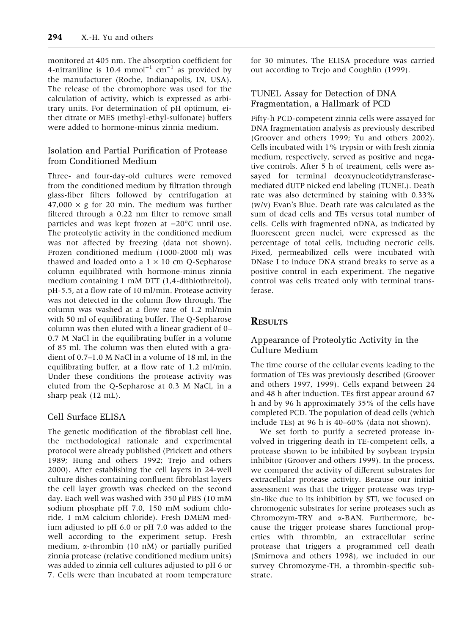monitored at 405 nm. The absorption coefficient for 4-nitraniline is 10.4 mmol<sup>-1</sup> cm<sup>-1</sup> as provided by the manufacturer (Roche, Indianapolis, IN, USA). The release of the chromophore was used for the calculation of activity, which is expressed as arbitrary units. For determination of pH optimum, either citrate or MES (methyl-ethyl-sulfonate) buffers were added to hormone-minus zinnia medium.

## Isolation and Partial Purification of Protease from Conditioned Medium

Three- and four-day-old cultures were removed from the conditioned medium by filtration through glass-fiber filters followed by centrifugation at  $47,000 \times g$  for 20 min. The medium was further filtered through a 0.22 nm filter to remove small particles and was kept frozen at  $-20^{\circ}$ C until use. The proteolytic activity in the conditioned medium was not affected by freezing (data not shown). Frozen conditioned medium (1000-2000 ml) was thawed and loaded onto a  $1 \times 10$  cm O-Sepharose column equilibrated with hormone-minus zinnia medium containing 1 mM DTT (1,4-dithiothreitol), pH-5.5, at a flow rate of 10 ml/min. Protease activity was not detected in the column flow through. The column was washed at a flow rate of 1.2 ml/min with 50 ml of equilibrating buffer. The Q-Sepharose column was then eluted with a linear gradient of 0– 0.7 M NaCl in the equilibrating buffer in a volume of 85 ml. The column was then eluted with a gradient of 0.7–1.0 M NaCl in a volume of 18 ml, in the equilibrating buffer, at a flow rate of 1.2 ml/min. Under these conditions the protease activity was eluted from the Q-Sepharose at 0.3 M NaCl, in a sharp peak (12 mL).

#### Cell Surface ELISA

The genetic modification of the fibroblast cell line, the methodological rationale and experimental protocol were already published (Prickett and others 1989; Hung and others 1992; Trejo and others 2000). After establishing the cell layers in 24-well culture dishes containing confluent fibroblast layers the cell layer growth was checked on the second day. Each well was washed with 350 µl PBS (10 mM sodium phosphate pH 7.0, 150 mM sodium chloride, 1 mM calcium chloride). Fresh DMEM medium adjusted to pH 6.0 or pH 7.0 was added to the well according to the experiment setup. Fresh medium, a-thrombin (10 nM) or partially purified zinnia protease (relative conditioned medium units) was added to zinnia cell cultures adjusted to pH 6 or 7. Cells were than incubated at room temperature

for 30 minutes. The ELISA procedure was carried out according to Trejo and Coughlin (1999).

# TUNEL Assay for Detection of DNA Fragmentation, a Hallmark of PCD

Fifty-h PCD-competent zinnia cells were assayed for DNA fragmentation analysis as previously described (Groover and others 1999; Yu and others 2002). Cells incubated with 1% trypsin or with fresh zinnia medium, respectively, served as positive and negative controls. After 5 h of treatment, cells were assayed for terminal deoxynucleotidytransferasemediated dUTP nicked end labeling (TUNEL). Death rate was also determined by staining with 0.33% ( $w/v$ ) Evan's Blue. Death rate was calculated as the sum of dead cells and TEs versus total number of cells. Cells with fragmented nDNA, as indicated by fluorescent green nuclei, were expressed as the percentage of total cells, including necrotic cells. Fixed, permeabilized cells were incubated with DNase I to induce DNA strand breaks to serve as a positive control in each experiment. The negative control was cells treated only with terminal transferase.

# **RESULTS**

# Appearance of Proteolytic Activity in the Culture Medium

The time course of the cellular events leading to the formation of TEs was previously described (Groover and others 1997, 1999). Cells expand between 24 and 48 h after induction. TEs first appear around 67 h and by 96 h approximately 35% of the cells have completed PCD. The population of dead cells (which include TEs) at 96 h is 40–60% (data not shown).

We set forth to purify a secreted protease involved in triggering death in TE-competent cells, a protease shown to be inhibited by soybean trypsin inhibitor (Groover and others 1999). In the process, we compared the activity of different substrates for extracellular protease activity. Because our initial assessment was that the trigger protease was trypsin-like due to its inhibition by STI, we focused on chromogenic substrates for serine proteases such as Chromozym-TRY and  $\alpha$ -BAN. Furthermore, because the trigger protease shares functional properties with thrombin, an extracellular serine protease that triggers a programmed cell death (Smirnova and others 1998), we included in our survey Chromozyme-TH, a thrombin-specific substrate.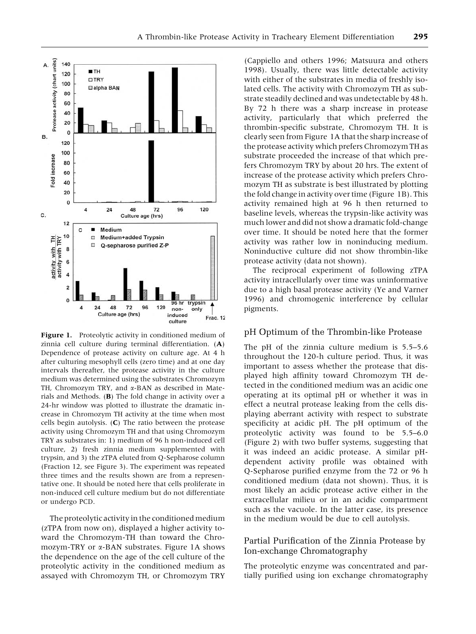

Figure 1. Proteolytic activity in conditioned medium of zinnia cell culture during terminal differentiation. (A) Dependence of protease activity on culture age. At 4 h after culturing mesophyll cells (zero time) and at one day intervals thereafter, the protease activity in the culture medium was determined using the substrates Chromozym TH, Chromozym TRY, and  $\alpha$ -BAN as described in Materials and Methods.  $(B)$  The fold change in activity over a 24-hr window was plotted to illustrate the dramatic increase in Chromozym TH activity at the time when most cells begin autolysis. (C) The ratio between the protease activity using Chromozym TH and that using Chromozym TRY as substrates in: 1) medium of 96 h non-induced cell culture, 2) fresh zinnia medium supplemented with trypsin, and 3) the zTPA eluted from Q-Sepharose column (Fraction 12, see Figure 3). The experiment was repeated three times and the results shown are from a representative one. It should be noted here that cells proliferate in non-induced cell culture medium but do not differentiate or undergo PCD.

The proteolytic activity in the conditioned medium (zTPA from now on), displayed a higher activity toward the Chromozym-TH than toward the Chromozym-TRY or a-BAN substrates. Figure 1A shows the dependence on the age of the cell culture of the proteolytic activity in the conditioned medium as assayed with Chromozym TH, or Chromozym TRY

(Cappiello and others 1996; Matsuura and others 1998). Usually, there was little detectable activity with either of the substrates in media of freshly isolated cells. The activity with Chromozym TH as substrate steadily declined and was undetectable by 48 h. By 72 h there was a sharp increase in protease activity, particularly that which preferred the thrombin-specific substrate, Chromozym TH. It is clearly seen from Figure 1A that the sharp increase of the protease activity which prefers Chromozym TH as substrate proceeded the increase of that which prefers Chromozym TRY by about 20 hrs. The extent of increase of the protease activity which prefers Chromozym TH as substrate is best illustrated by plotting the fold change in activity over time (Figure 1B). This activity remained high at 96 h then returned to baseline levels, whereas the trypsin-like activity was much lower and did not show a dramatic fold-change over time. It should be noted here that the former activity was rather low in noninducing medium. Noninductive culture did not show thrombin-like protease activity (data not shown).

The reciprocal experiment of following zTPA activity intracellularly over time was uninformative due to a high basal protease activity (Ye and Varner 1996) and chromogenic interference by cellular pigments.

#### pH Optimum of the Thrombin-like Protease

The pH of the zinnia culture medium is 5.5–5.6 throughout the 120-h culture period. Thus, it was important to assess whether the protease that displayed high affinity toward Chromozym TH detected in the conditioned medium was an acidic one operating at its optimal pH or whether it was in effect a neutral protease leaking from the cells displaying aberrant activity with respect to substrate specificity at acidic pH. The pH optimum of the proteolytic activity was found to be 5.5–6.0 (Figure 2) with two buffer systems, suggesting that it was indeed an acidic protease. A similar pHdependent activity profile was obtained with Q-Sepharose purified enzyme from the 72 or 96 h conditioned medium (data not shown). Thus, it is most likely an acidic protease active either in the extracellular milieu or in an acidic compartment such as the vacuole. In the latter case, its presence in the medium would be due to cell autolysis.

#### Partial Purification of the Zinnia Protease by Ion-exchange Chromatography

The proteolytic enzyme was concentrated and partially purified using ion exchange chromatography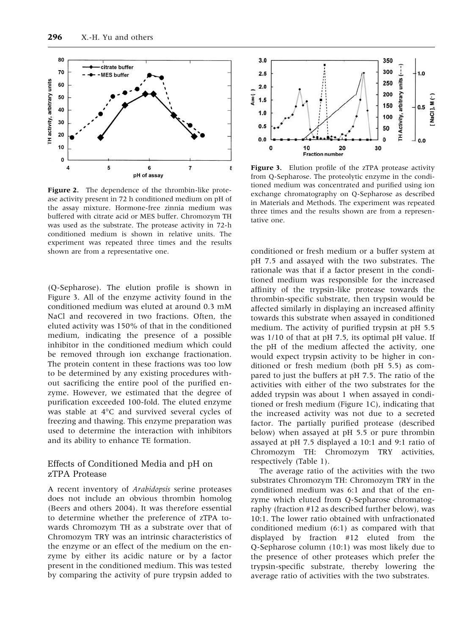

Figure 2. The dependence of the thrombin-like protease activity present in 72 h conditioned medium on pH of the assay mixture. Hormone-free zinnia medium was buffered with citrate acid or MES buffer. Chromozym TH was used as the substrate. The protease activity in 72-h conditioned medium is shown in relative units. The experiment was repeated three times and the results shown are from a representative one.

(Q-Sepharose). The elution profile is shown in Figure 3. All of the enzyme activity found in the conditioned medium was eluted at around 0.3 mM NaCl and recovered in two fractions. Often, the eluted activity was 150% of that in the conditioned medium, indicating the presence of a possible inhibitor in the conditioned medium which could be removed through ion exchange fractionation. The protein content in these fractions was too low to be determined by any existing procedures without sacrificing the entire pool of the purified enzyme. However, we estimated that the degree of purification exceeded 100-fold. The eluted enzyme was stable at  $4^{\circ}$ C and survived several cycles of freezing and thawing. This enzyme preparation was used to determine the interaction with inhibitors and its ability to enhance TE formation.

#### Effects of Conditioned Media and pH on zTPA Protease

A recent inventory of Arabidopsis serine proteases does not include an obvious thrombin homolog (Beers and others 2004). It was therefore essential to determine whether the preference of zTPA towards Chromozym TH as a substrate over that of Chromozym TRY was an intrinsic characteristics of the enzyme or an effect of the medium on the enzyme by either its acidic nature or by a factor present in the conditioned medium. This was tested by comparing the activity of pure trypsin added to



Figure 3. Elution profile of the zTPA protease activity from Q-Sepharose. The proteolytic enzyme in the conditioned medium was concentrated and purified using ion exchange chromatography on Q-Sepharose as described in Materials and Methods. The experiment was repeated three times and the results shown are from a representative one.

conditioned or fresh medium or a buffer system at pH 7.5 and assayed with the two substrates. The rationale was that if a factor present in the conditioned medium was responsible for the increased affinity of the trypsin-like protease towards the thrombin-specific substrate, then trypsin would be affected similarly in displaying an increased affinity towards this substrate when assayed in conditioned medium. The activity of purified trypsin at pH 5.5 was 1/10 of that at pH 7.5, its optimal pH value. If the pH of the medium affected the activity, one would expect trypsin activity to be higher in conditioned or fresh medium (both pH 5.5) as compared to just the buffers at pH 7.5. The ratio of the activities with either of the two substrates for the added trypsin was about 1 when assayed in conditioned or fresh medium (Figure 1C), indicating that the increased activity was not due to a secreted factor. The partially purified protease (described below) when assayed at pH 5.5 or pure thrombin assayed at pH 7.5 displayed a 10:1 and 9:1 ratio of Chromozym TH: Chromozym TRY activities, respectively (Table 1).

The average ratio of the activities with the two substrates Chromozym TH: Chromozym TRY in the conditioned medium was 6:1 and that of the enzyme which eluted from Q-Sepharose chromatography (fraction #12 as described further below), was 10:1. The lower ratio obtained with unfractionated conditioned medium (6:1) as compared with that displayed by fraction #12 eluted from the Q-Sepharose column (10:1) was most likely due to the presence of other proteases which prefer the trypsin-specific substrate, thereby lowering the average ratio of activities with the two substrates.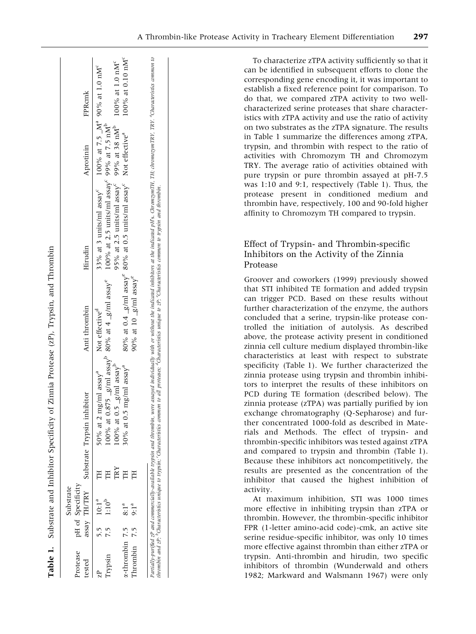|                                | Substrate                      |     |                                                                                                          |                                       |                                                                                                                                                               |           |                              |
|--------------------------------|--------------------------------|-----|----------------------------------------------------------------------------------------------------------|---------------------------------------|---------------------------------------------------------------------------------------------------------------------------------------------------------------|-----------|------------------------------|
| Protease<br>ested              | pH of Specificity              |     | assay TH/TRY Substrate Trypsin inhibitor                                                                 | Anti thrombin                         | Hirudin                                                                                                                                                       | Aprotinin | FPRank                       |
| Typsin                         | 5.5 $10:1^a$<br>7.5 $1:10^{b}$ | F   | $100\%$ at 0.875 $\_$ g/ml assay $^9$ 80% at 4 $\_$ g/ml assay $^6$<br>50% at 2 mg/ml assay <sup>a</sup> | Not effective <sup>d</sup>            | 33% at 3 units/ml assay <sup>c</sup> 100% at 7.5 $\text{M}^{\text{a}}$ 90% at 1.0 nM <sup>c</sup><br>100% at 2.5 units/ml assay <sup>c</sup> 99% at 7.5 $nMb$ |           |                              |
|                                |                                | TRY | 00% at 0.5 $g/ml$ assay <sup>p</sup>                                                                     |                                       | 95% at 2.5 units/ml assay <sup>c</sup> 99% at 38 nM <sup>b</sup>                                                                                              |           | $100\%$ at 1.0 $nM^c$        |
| $\alpha$ -thrombin 7.5 $8:1^a$ |                                |     | 30% at 0.5 mg/ml assay <sup>a</sup>                                                                      |                                       | 80% at 0.4 $g/ml$ assay <sup>e</sup> 80% at 0.5 units/ml assay <sup>c</sup> Not effective <sup>a</sup>                                                        |           | 100% at 0.10 nM <sup>c</sup> |
| Thrombin $7.5$ $9:1^a$         |                                |     |                                                                                                          | $90\%$ at 10 $-g\prime$ ml assa $y^e$ |                                                                                                                                                               |           |                              |

thrombin and zP; <sup>b</sup>Characteristics unique to trypsin; Characteristics common to all proteases; <sup>d</sup>Characteristics unique to zP; <sup>e</sup>Characteristics common to trypsin and thrombin.

To characterize zTPA activity sufficiently so that it can be identified in subsequent efforts to clone the corresponding gene encoding it, it was important to establish a fixed reference point for comparison. To do that, we compared zTPA activity to two wellcharacterized serine proteases that share characteristics with zTPA activity and use the ratio of activity on two substrates as the zTPA signature. The results in Table 1 summarize the differences among zTPA, trypsin, and thrombin with respect to the ratio of activities with Chromozym TH and Chromozym TRY. The average ratio of activities obtained with pure trypsin or pure thrombin assayed at pH-7.5

was 1:10 and 9:1, respectively (Table 1). Thus, the protease present in conditioned medium and thrombin have, respectively, 100 and 90-fold higher affinity to Chromozym TH compared to trypsin.

# Effect of Trypsin- and Thrombin-specific Inhibitors on the Activity of the Zinnia Protease

Groover and coworkers (1999) previously showed that STI inhibited TE formation and added trypsin can trigger PCD. Based on these results without further characterization of the enzyme, the authors concluded that a serine, trypsin-like protease controlled the initiation of autolysis. As described above, the protease activity present in conditioned zinnia cell culture medium displayed thrombin-like characteristics at least with respect to substrate specificity (Table 1). We further characterized the zinnia protease using trypsin and thrombin inhibitors to interpret the results of these inhibitors on PCD during TE formation (described below). The zinnia protease (zTPA) was partially purified by ion exchange chromatography (Q-Sepharose) and further concentrated 1000-fold as described in Materials and Methods. The effect of trypsin- and thrombin-specific inhibitors was tested against zTPA and compared to trypsin and thrombin (Table 1). Because these inhibitors act noncompetitively, the results are presented as the concentration of the inhibitor that caused the highest inhibition of activity.

At maximum inhibition, STI was 1000 times more effective in inhibiting trypsin than zTPA or thrombin. However, the thrombin-specific inhibitor FPR (1-letter amino-acid code)-cmk, an active site serine residue-specific inhibitor, was only 10 times more effective against thrombin than either zTPA or trypsin. Anti-thrombin and hirudin, two specific inhibitors of thrombin (Wunderwald and others 1982; Markward and Walsmann 1967) were only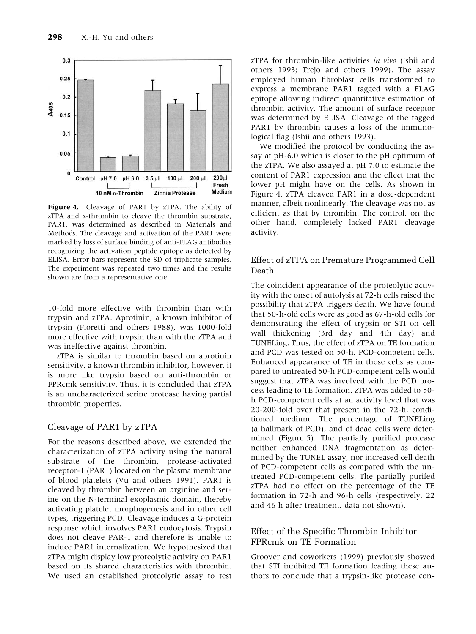![](_page_6_Figure_1.jpeg)

Figure 4. Cleavage of PAR1 by zTPA. The ability of zTPA and  $\alpha$ -thrombin to cleave the thrombin substrate. PAR1, was determined as described in Materials and Methods. The cleavage and activation of the PAR1 were marked by loss of surface binding of anti-FLAG antibodies recognizing the activation peptide epitope as detected by ELISA. Error bars represent the SD of triplicate samples. The experiment was repeated two times and the results shown are from a representative one.

10-fold more effective with thrombin than with trypsin and zTPA. Aprotinin, a known inhibitor of trypsin (Fioretti and others 1988), was 1000-fold more effective with trypsin than with the zTPA and was ineffective against thrombin.

zTPA is similar to thrombin based on aprotinin sensitivity, a known thrombin inhibitor, however, it is more like trypsin based on anti-thrombin or FPRcmk sensitivity. Thus, it is concluded that zTPA is an uncharacterized serine protease having partial thrombin properties.

#### Cleavage of PAR1 by zTPA

For the reasons described above, we extended the characterization of zTPA activity using the natural substrate of the thrombin, protease-activated receptor-1 (PAR1) located on the plasma membrane of blood platelets (Vu and others 1991). PAR1 is cleaved by thrombin between an arginine and serine on the N-terminal exoplasmic domain, thereby activating platelet morphogenesis and in other cell types, triggering PCD. Cleavage induces a G-protein response which involves PAR1 endocytosis. Trypsin does not cleave PAR-1 and therefore is unable to induce PAR1 internalization. We hypothesized that zTPA might display low proteolytic activity on PAR1 based on its shared characteristics with thrombin. We used an established proteolytic assay to test zTPA for thrombin-like activities in vivo (Ishii and others 1993; Trejo and others 1999). The assay employed human fibroblast cells transformed to express a membrane PAR1 tagged with a FLAG epitope allowing indirect quantitative estimation of thrombin activity. The amount of surface receptor was determined by ELISA. Cleavage of the tagged PAR1 by thrombin causes a loss of the immunological flag (Ishii and others 1993).

We modified the protocol by conducting the assay at pH-6.0 which is closer to the pH optimum of the zTPA. We also assayed at pH 7.0 to estimate the content of PAR1 expression and the effect that the lower pH might have on the cells. As shown in Figure 4, zTPA cleaved PAR1 in a dose-dependent manner, albeit nonlinearly. The cleavage was not as efficient as that by thrombin. The control, on the other hand, completely lacked PAR1 cleavage activity.

## Effect of zTPA on Premature Programmed Cell Death

The coincident appearance of the proteolytic activity with the onset of autolysis at 72-h cells raised the possibility that zTPA triggers death. We have found that 50-h-old cells were as good as 67-h-old cells for demonstrating the effect of trypsin or STI on cell wall thickening (3rd day and 4th day) and TUNELing. Thus, the effect of zTPA on TE formation and PCD was tested on 50-h, PCD-competent cells. Enhanced appearance of TE in those cells as compared to untreated 50-h PCD-competent cells would suggest that zTPA was involved with the PCD process leading to TE formation. zTPA was added to 50 h PCD-competent cells at an activity level that was 20-200-fold over that present in the 72-h, conditioned medium. The percentage of TUNELing (a hallmark of PCD), and of dead cells were determined (Figure 5). The partially purified protease neither enhanced DNA fragmentation as determined by the TUNEL assay, nor increased cell death of PCD-competent cells as compared with the untreated PCD-competent cells. The partially purifed zTPA had no effect on the percentage of the TE formation in 72-h and 96-h cells (respectively, 22 and 46 h after treatment, data not shown).

## Effect of the Specific Thrombin Inhibitor FPRcmk on TE Formation

Groover and coworkers (1999) previously showed that STI inhibited TE formation leading these authors to conclude that a trypsin-like protease con-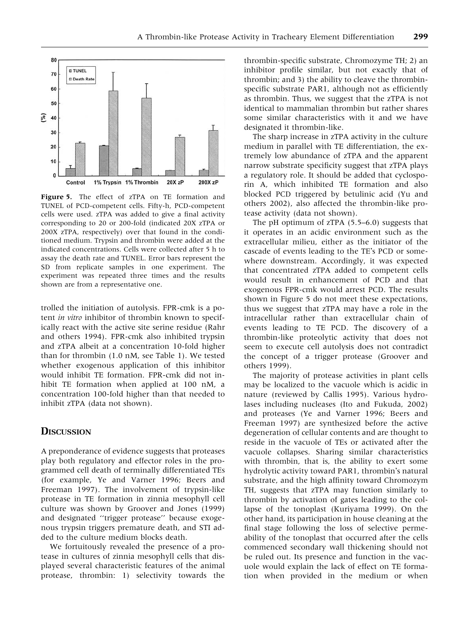![](_page_7_Figure_1.jpeg)

Figure 5. The effect of zTPA on TE formation and TUNEL of PCD-competent cells. Fifty-h, PCD-competent cells were used. zTPA was added to give a final activity corresponding to 20 or 200-fold (indicated 20X zTPA or 200X zTPA, respectively) over that found in the conditioned medium. Trypsin and thrombin were added at the indicated concentrations. Cells were collected after 5 h to assay the death rate and TUNEL. Error bars represent the SD from replicate samples in one experiment. The experiment was repeated three times and the results shown are from a representative one.

trolled the initiation of autolysis. FPR-cmk is a potent in vitro inhibitor of thrombin known to specifically react with the active site serine residue (Rahr and others 1994). FPR-cmk also inhibited trypsin and zTPA albeit at a concentration 10-fold higher than for thrombin (1.0 nM, see Table 1). We tested whether exogenous application of this inhibitor would inhibit TE formation. FPR-cmk did not inhibit TE formation when applied at 100 nM, a concentration 100-fold higher than that needed to inhibit zTPA (data not shown).

# **DISCUSSION**

A preponderance of evidence suggests that proteases play both regulatory and effector roles in the programmed cell death of terminally differentiated TEs (for example, Ye and Varner 1996; Beers and Freeman 1997). The involvement of trypsin-like protease in TE formation in zinnia mesophyll cell culture was shown by Groover and Jones (1999) and designated ''trigger protease'' because exogenous trypsin triggers premature death, and STI added to the culture medium blocks death.

We fortuitously revealed the presence of a protease in cultures of zinnia mesophyll cells that displayed several characteristic features of the animal protease, thrombin: 1) selectivity towards the thrombin-specific substrate, Chromozyme TH; 2) an inhibitor profile similar, but not exactly that of thrombin; and 3) the ability to cleave the thrombinspecific substrate PAR1, although not as efficiently as thrombin. Thus, we suggest that the zTPA is not identical to mammalian thrombin but rather shares some similar characteristics with it and we have designated it thrombin-like.

The sharp increase in zTPA activity in the culture medium in parallel with TE differentiation, the extremely low abundance of zTPA and the apparent narrow substrate specificity suggest that zTPA plays a regulatory role. It should be added that cyclosporin A, which inhibited TE formation and also blocked PCD triggered by betulinic acid (Yu and others 2002), also affected the thrombin-like protease activity (data not shown).

The pH optimum of zTPA (5.5–6.0) suggests that it operates in an acidic environment such as the extracellular milieu, either as the initiator of the cascade of events leading to the TE's PCD or somewhere downstream. Accordingly, it was expected that concentrated zTPA added to competent cells would result in enhancement of PCD and that exogenous FPR-cmk would arrest PCD. The results shown in Figure 5 do not meet these expectations, thus we suggest that zTPA may have a role in the intracellular rather than extracellular chain of events leading to TE PCD. The discovery of a thrombin-like proteolytic activity that does not seem to execute cell autolysis does not contradict the concept of a trigger protease (Groover and others 1999).

The majority of protease activities in plant cells may be localized to the vacuole which is acidic in nature (reviewed by Callis 1995). Various hydrolases including nucleases (Ito and Fukuda, 2002) and proteases (Ye and Varner 1996; Beers and Freeman 1997) are synthesized before the active degeneration of cellular contents and are thought to reside in the vacuole of TEs or activated after the vacuole collapses. Sharing similar characteristics with thrombin, that is, the ability to exert some hydrolytic activity toward PAR1, thrombin's natural substrate, and the high affinity toward Chromozym TH, suggests that zTPA may function similarly to thrombin by activation of gates leading to the collapse of the tonoplast (Kuriyama 1999). On the other hand, its participation in house cleaning at the final stage following the loss of selective permeability of the tonoplast that occurred after the cells commenced secondary wall thickening should not be ruled out. Its presence and function in the vacuole would explain the lack of effect on TE formation when provided in the medium or when